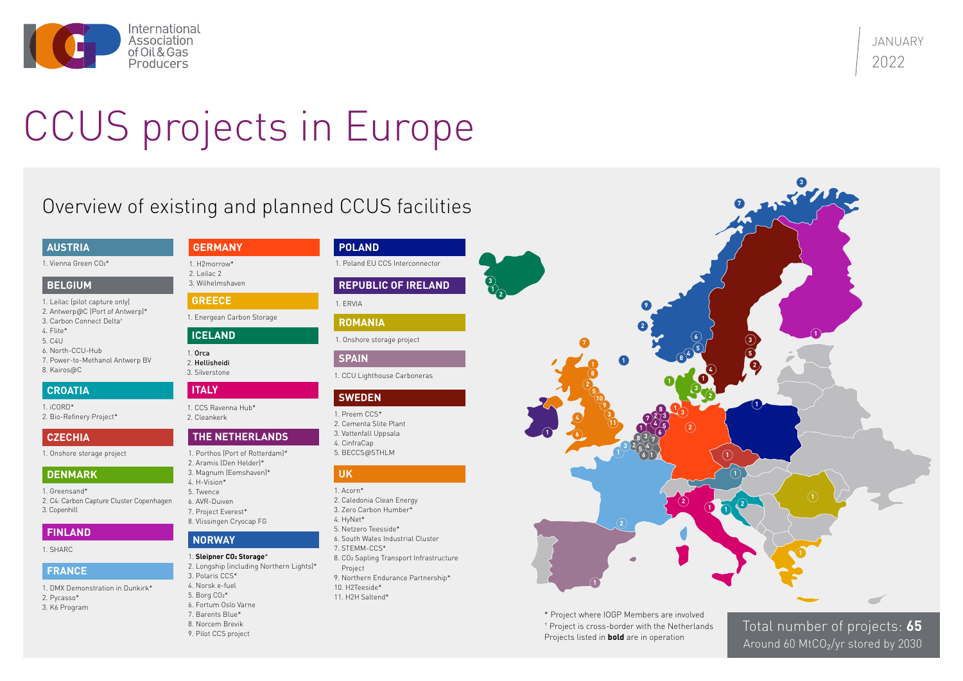JANUARY 2022



# CCUS projects in Europe

Total number of projects: **65** Around 60 MtCO<sub>2</sub>/yr stored by 2030

\* Project where IOGP Members are involved † Project is cross-border with the Netherlands Projects listed in **bold** are in operation

#### **UK**

- 1. Acorn\*
- 2. Caledonia Clean Energy
- 3. Zero Carbon Humber\*
- 4. HyNet\*
- 5. Netzero Teesside\*
- 6. South Wales Industrial Cluster
- 7. STEMM-CCS\*
- 8. CO2 Sapling Transport Infrastructure Project
- 9. Northern Endurance Partnership\*
- 10. H2Teeside\*
- 11. H2H Saltend\*

## **THE NETHERLANDS**

## **NORWAY**

#### **REPUBLIC OF IRELAND**

## **SWEDEN**

- 1. Porthos (Port of Rotterdam)\*
- 2. Aramis (Den Helder)\*
- 3. Magnum (Eemshaven)\*
- 4. H-Vision\* 5. Twence
- 6. AVR-Duiven
- 7. Project Everest\*
- 8. Vlissingen Cryocap FG
- 1. Preem CCS\*
- 2. Cementa Slite Plant
- 3. Vattenfall Uppsala
- 4. CinfraCap
- 5. BECCS@STHLM

#### **SPAIN**

1. CCU Lighthouse Carboneras

1. ERVIA

## **POLAND**

1. Poland EU CCS Interconnector

# **ROMANIA**

1. Onshore storage project

#### 1. **Sleipner CO2 Storage**\*

- 2. Longship (including Northern Lights)\*
- 3. Polaris CCS\*
- 4. Norsk e-fuel
- 5. Borg CO2\*
- 6. Fortum Oslo Varne 7. Barents Blue\*
- 8. Norcem Brevik
- 9. Pilot CCS project
- 1. Leilac (pilot capture only)
- 2. Antwerp@C (Port of Antwerp)\*
- 3. Carbon Connect Delta† 4. Flite\*
- 5. C4U
- 6. North-CCU-Hub
- 7. Power-to-Methanol Antwerp BV
- 8. Kairos@C

#### **BELGIUM**

#### **AUSTRIA**

1. Vienna Green CO<sub>2</sub>\*

#### **DENMARK**

## **FRANCE**

**ICELAND**

#### **GERMANY**

## **CROATIA ITALY**

- 1. Greensand\*
- 2. C4: Carbon Capture Cluster Copenhagen 3. Copenhill
- 1. iCORD\*
- 2. Bio-Refinery Project\*

## **CZECHIA**

1. Onshore storage project

1. CCS Ravenna Hub\* 2. Cleankerk

1. Orca 2. Hellisheidi

3. Silverstone

**GREECE**

# 1. Energean Carbon Storage

1. H2morrow\*

2. Leilac 2 3. Wilhelmshaven

- 1. DMX Demonstration in Dunkirk\*
- 2. Pycasso\*
- 3. K6 Program

## **FINLAND**

1. SHARC

# Overview of existing and planned CCUS facilities

**1**



**3**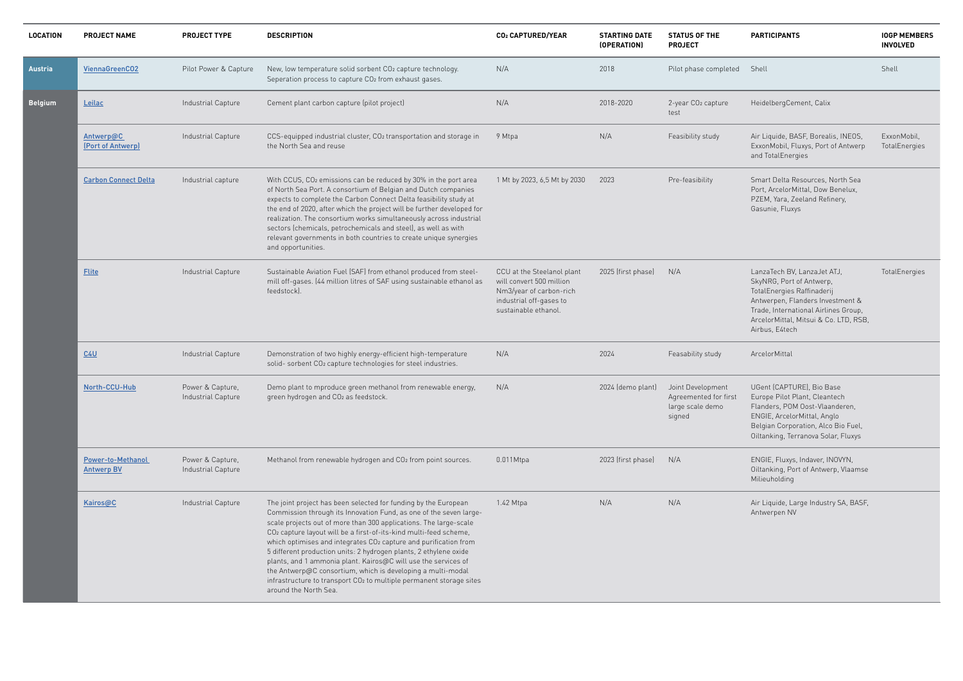| <b>LOCATION</b> | <b>PROJECT NAME</b>                           | <b>PROJECT TYPE</b>                    | <b>DESCRIPTION</b>                                                                                                                                                                                                                                                                                                                                                                                                                                                                                                                                                                                                                                                    | CO2 CAPTURED/YEAR                                                                                                                    | <b>STARTING DATE</b><br>(OPERATION) | <b>STATUS OF THE</b><br><b>PROJECT</b>                                   | <b>PARTICIPANTS</b>                                                                                                                                                                                                          | <b>IOGP MEMBERS</b><br><b>INVOLVED</b> |
|-----------------|-----------------------------------------------|----------------------------------------|-----------------------------------------------------------------------------------------------------------------------------------------------------------------------------------------------------------------------------------------------------------------------------------------------------------------------------------------------------------------------------------------------------------------------------------------------------------------------------------------------------------------------------------------------------------------------------------------------------------------------------------------------------------------------|--------------------------------------------------------------------------------------------------------------------------------------|-------------------------------------|--------------------------------------------------------------------------|------------------------------------------------------------------------------------------------------------------------------------------------------------------------------------------------------------------------------|----------------------------------------|
| <b>Austria</b>  | ViennaGreenCO2                                | Pilot Power & Capture                  | New, low temperature solid sorbent CO2 capture technology.<br>Seperation process to capture CO2 from exhaust gases.                                                                                                                                                                                                                                                                                                                                                                                                                                                                                                                                                   | N/A                                                                                                                                  | 2018                                | Pilot phase completed                                                    | Shell                                                                                                                                                                                                                        | Shell                                  |
| <b>Belgium</b>  | Leilac                                        | Industrial Capture                     | Cement plant carbon capture (pilot project)                                                                                                                                                                                                                                                                                                                                                                                                                                                                                                                                                                                                                           | N/A                                                                                                                                  | 2018-2020                           | 2-year CO <sub>2</sub> capture<br>test                                   | HeidelbergCement, Calix                                                                                                                                                                                                      |                                        |
|                 | Antwerp@C<br>[Port of Antwerp]                | Industrial Capture                     | CCS-equipped industrial cluster, CO2 transportation and storage in<br>the North Sea and reuse                                                                                                                                                                                                                                                                                                                                                                                                                                                                                                                                                                         | 9 Mtpa                                                                                                                               | N/A                                 | Feasibility study                                                        | Air Liquide, BASF, Borealis, INEOS,<br>ExxonMobil, Fluxys, Port of Antwerp<br>and TotalEnergies                                                                                                                              | ExxonMobil,<br>TotalEnergies           |
|                 | <b>Carbon Connect Delta</b>                   | Industrial capture                     | With CCUS, CO <sub>2</sub> emissions can be reduced by 30% in the port area<br>of North Sea Port. A consortium of Belgian and Dutch companies<br>expects to complete the Carbon Connect Delta feasibility study at<br>the end of 2020, after which the project will be further developed for<br>realization. The consortium works simultaneously across industrial<br>sectors (chemicals, petrochemicals and steel), as well as with<br>relevant governments in both countries to create unique synergies<br>and opportunities.                                                                                                                                       | 1 Mt by 2023, 6,5 Mt by 2030                                                                                                         | 2023                                | Pre-feasibility                                                          | Smart Delta Resources, North Sea<br>Port, ArcelorMittal, Dow Benelux,<br>PZEM, Yara, Zeeland Refinery,<br>Gasunie, Fluxys                                                                                                    |                                        |
|                 | <b>Flite</b>                                  | Industrial Capture                     | Sustainable Aviation Fuel (SAF) from ethanol produced from steel-<br>mill off-gases. (44 million litres of SAF using sustainable ethanol as<br>feedstock).                                                                                                                                                                                                                                                                                                                                                                                                                                                                                                            | CCU at the Steelanol plant<br>will convert 500 million<br>Nm3/year of carbon-rich<br>industrial off-gases to<br>sustainable ethanol. | 2025 (first phase)                  | N/A                                                                      | LanzaTech BV, LanzaJet ATJ,<br>SkyNRG, Port of Antwerp,<br>TotalEnergies Raffinaderij<br>Antwerpen, Flanders Investment &<br>Trade, International Airlines Group,<br>ArcelorMittal, Mitsui & Co. LTD, RSB,<br>Airbus, E4tech | TotalEnergies                          |
|                 | C4U                                           | Industrial Capture                     | Demonstration of two highly energy-efficient high-temperature<br>solid- sorbent CO <sub>2</sub> capture technologies for steel industries.                                                                                                                                                                                                                                                                                                                                                                                                                                                                                                                            | N/A                                                                                                                                  | 2024                                | Feasability study                                                        | ArcelorMittal                                                                                                                                                                                                                |                                        |
|                 | North-CCU-Hub                                 | Power & Capture,<br>Industrial Capture | Demo plant to mproduce green methanol from renewable energy,<br>green hydrogen and CO2 as feedstock.                                                                                                                                                                                                                                                                                                                                                                                                                                                                                                                                                                  | N/A                                                                                                                                  | 2024 (demo plant)                   | Joint Development<br>Agreemented for first<br>large scale demo<br>signed | UGent (CAPTURE), Bio Base<br>Europe Pilot Plant, Cleantech<br>Flanders, POM Oost-Vlaanderen,<br>ENGIE, ArcelorMittal, Anglo<br>Belgian Corporation, Alco Bio Fuel,<br>Oiltanking, Terranova Solar, Fluxys                    |                                        |
|                 | <b>Power-to-Methanol</b><br><b>Antwerp BV</b> | Power & Capture,<br>Industrial Capture | Methanol from renewable hydrogen and CO2 from point sources.                                                                                                                                                                                                                                                                                                                                                                                                                                                                                                                                                                                                          | $0.011$ Mtpa                                                                                                                         | 2023 (first phase)                  | N/A                                                                      | ENGIE, Fluxys, Indaver, INOVYN,<br>Oiltanking, Port of Antwerp, Vlaamse<br>Milieuholding                                                                                                                                     |                                        |
|                 | Kairos@C                                      | Industrial Capture                     | The joint project has been selected for funding by the European<br>Commission through its Innovation Fund, as one of the seven large-<br>scale projects out of more than 300 applications. The large-scale<br>CO <sub>2</sub> capture layout will be a first-of-its-kind multi-feed scheme,<br>which optimises and integrates CO2 capture and purification from<br>5 different production units: 2 hydrogen plants, 2 ethylene oxide<br>plants, and 1 ammonia plant. Kairos@C will use the services of<br>the Antwerp@C consortium, which is developing a multi-modal<br>infrastructure to transport CO2 to multiple permanent storage sites<br>around the North Sea. | 1.42 Mtpa                                                                                                                            | N/A                                 | N/A                                                                      | Air Liquide, Large Industry SA, BASF,<br>Antwerpen NV                                                                                                                                                                        |                                        |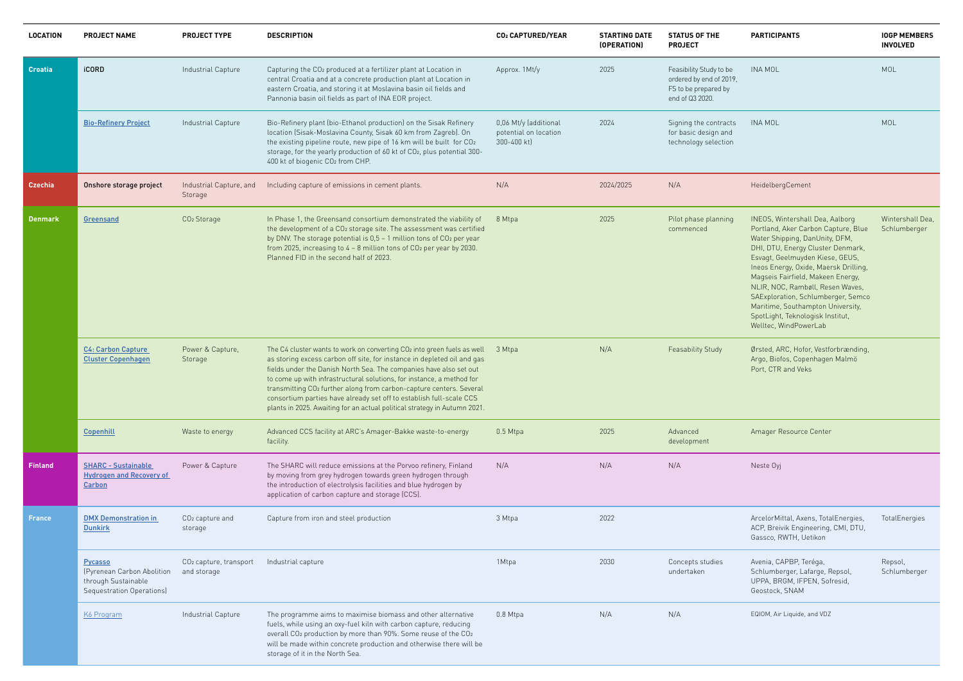#### **PARTICIPANTS IOGP MEMBERS**

# **INVOLVED**

| эe<br>119.<br>ý | <b>INA MOL</b>                                                                                                                                                                                                                                                                                                                                                                                                                                    | MOL                              |
|-----------------|---------------------------------------------------------------------------------------------------------------------------------------------------------------------------------------------------------------------------------------------------------------------------------------------------------------------------------------------------------------------------------------------------------------------------------------------------|----------------------------------|
| cts<br>ıd<br>วท | INA MOL                                                                                                                                                                                                                                                                                                                                                                                                                                           | <b>MOL</b>                       |
|                 | HeidelbergCement                                                                                                                                                                                                                                                                                                                                                                                                                                  |                                  |
| ٦q              | <b>INEOS, Wintershall Dea, Aalborg</b><br>Portland, Aker Carbon Capture, Blue<br>Water Shipping, DanUnity, DFM,<br>DHI, DTU, Energy Cluster Denmark,<br>Esvagt, Geelmuyden Kiese, GEUS,<br>Ineos Energy, Oxide, Maersk Drilling,<br>Magseis Fairfield, Makeen Energy,<br>NLIR, NOC, Rambøll, Resen Waves,<br>SAExploration, Schlumberger, Semco<br>Maritime, Southampton University,<br>SpotLight, Teknologisk Institut,<br>Welltec, WindPowerLab | Wintershall Dea,<br>Schlumberger |
|                 | Ørsted, ARC, Hofor, Vestforbrænding,<br>Argo, Biofos, Copenhagen Malmö<br>Port, CTR and Veks                                                                                                                                                                                                                                                                                                                                                      |                                  |
|                 | Amager Resource Center                                                                                                                                                                                                                                                                                                                                                                                                                            |                                  |
|                 | Neste Oyj                                                                                                                                                                                                                                                                                                                                                                                                                                         |                                  |
|                 | ArcelorMittal, Axens, TotalEnergies,<br>ACP, Breivik Engineering, CMI, DTU,<br>Gassco, RWTH, Uetikon                                                                                                                                                                                                                                                                                                                                              | TotalEnergies                    |
|                 | Avenia, CAPBP, Teréga,<br>Schlumberger, Lafarge, Repsol,<br>UPPA, BRGM, IFPEN, Sofresid,<br>Geostock, SNAM                                                                                                                                                                                                                                                                                                                                        | Repsol,<br>Schlumberger          |
|                 | EQIOM, Air Liquide, and VDZ                                                                                                                                                                                                                                                                                                                                                                                                                       |                                  |

| <b>LOCATION</b> | <b>PROJECT NAME</b>                                                                              | <b>PROJECT TYPE</b>                               | <b>DESCRIPTION</b>                                                                                                                                                                                                                                                                                                                                                                                                                                                                                                                       | CO2 CAPTURED/YEAR                                             | <b>STARTING DATE</b><br>(OPERATION) | <b>STATUS OF THE</b><br><b>PROJECT</b>                                                        | <b>PARTICIPANTS</b>                                                                                                                                                                                                                                                                                                                                                                                                                               |
|-----------------|--------------------------------------------------------------------------------------------------|---------------------------------------------------|------------------------------------------------------------------------------------------------------------------------------------------------------------------------------------------------------------------------------------------------------------------------------------------------------------------------------------------------------------------------------------------------------------------------------------------------------------------------------------------------------------------------------------------|---------------------------------------------------------------|-------------------------------------|-----------------------------------------------------------------------------------------------|---------------------------------------------------------------------------------------------------------------------------------------------------------------------------------------------------------------------------------------------------------------------------------------------------------------------------------------------------------------------------------------------------------------------------------------------------|
| <b>Croatia</b>  | <b>iCORD</b>                                                                                     | Industrial Capture                                | Capturing the CO <sub>2</sub> produced at a fertilizer plant at Location in<br>central Croatia and at a concrete production plant at Location in<br>eastern Croatia, and storing it at Moslavina basin oil fields and<br>Pannonia basin oil fields as part of INA EOR project.                                                                                                                                                                                                                                                           | Approx. 1Mt/y                                                 | 2025                                | Feasibility Study to be<br>ordered by end of 2019,<br>FS to be prepared by<br>end of Q3 2020. | <b>INA MOL</b>                                                                                                                                                                                                                                                                                                                                                                                                                                    |
|                 | <b>Bio-Refinery Project</b>                                                                      | Industrial Capture                                | Bio-Refinery plant (bio-Ethanol production) on the Sisak Refinery<br>location (Sisak-Moslavina County, Sisak 60 km from Zagreb). On<br>the existing pipeline route, new pipe of 16 km will be built for CO2<br>storage, for the yearly production of 60 kt of CO2, plus potential 300-<br>400 kt of biogenic CO2 from CHP.                                                                                                                                                                                                               | 0,06 Mt/y (additional<br>potential on location<br>300-400 kt) | 2024                                | Signing the contracts<br>for basic design and<br>technology selection                         | <b>INA MOL</b>                                                                                                                                                                                                                                                                                                                                                                                                                                    |
| <b>Czechia</b>  | Onshore storage project                                                                          | Industrial Capture, and<br>Storage                | Including capture of emissions in cement plants.                                                                                                                                                                                                                                                                                                                                                                                                                                                                                         | N/A                                                           | 2024/2025                           | N/A                                                                                           | HeidelbergCement                                                                                                                                                                                                                                                                                                                                                                                                                                  |
| <b>Denmark</b>  | Greensand                                                                                        | CO <sub>2</sub> Storage                           | In Phase 1, the Greensand consortium demonstrated the viability of<br>the development of a CO2 storage site. The assessment was certified<br>by DNV. The storage potential is 0,5 - 1 million tons of CO2 per year<br>from 2025, increasing to 4 - 8 million tons of CO <sub>2</sub> per year by 2030.<br>Planned FID in the second half of 2023.                                                                                                                                                                                        | 8 Mtpa                                                        | 2025                                | Pilot phase planning<br>commenced                                                             | <b>INEOS, Wintershall Dea, Aalborg</b><br>Portland, Aker Carbon Capture, Blue<br>Water Shipping, DanUnity, DFM,<br>DHI, DTU, Energy Cluster Denmark,<br>Esvagt, Geelmuyden Kiese, GEUS,<br>Ineos Energy, Oxide, Maersk Drilling,<br>Magseis Fairfield, Makeen Energy,<br>NLIR, NOC, Rambøll, Resen Waves,<br>SAExploration, Schlumberger, Semco<br>Maritime, Southampton University,<br>SpotLight, Teknologisk Institut,<br>Welltec, WindPowerLab |
|                 | C4: Carbon Capture<br><b>Cluster Copenhagen</b>                                                  | Power & Capture,<br>Storage                       | The C4 cluster wants to work on converting CO2 into green fuels as well<br>as storing excess carbon off site, for instance in depleted oil and gas<br>fields under the Danish North Sea. The companies have also set out<br>to come up with infrastructural solutions, for instance, a method for<br>transmitting CO <sub>2</sub> further along from carbon-capture centers. Several<br>consortium parties have already set off to establish full-scale CCS<br>plants in 2025. Awaiting for an actual political strategy in Autumn 2021. | 3 Mtpa                                                        | N/A                                 | Feasability Study                                                                             | Ørsted, ARC, Hofor, Vestforbrænding,<br>Argo, Biofos, Copenhagen Malmö<br>Port, CTR and Veks                                                                                                                                                                                                                                                                                                                                                      |
|                 | Copenhill                                                                                        | Waste to energy                                   | Advanced CCS facility at ARC's Amager-Bakke waste-to-energy<br>facility.                                                                                                                                                                                                                                                                                                                                                                                                                                                                 | $0.5$ Mtpa                                                    | 2025                                | Advanced<br>development                                                                       | Amager Resource Center                                                                                                                                                                                                                                                                                                                                                                                                                            |
| <b>Finland</b>  | <b>SHARC - Sustainable</b><br><b>Hydrogen and Recovery of</b><br>Carbon                          | Power & Capture                                   | The SHARC will reduce emissions at the Porvoo refinery, Finland<br>by moving from grey hydrogen towards green hydrogen through<br>the introduction of electrolysis facilities and blue hydrogen by<br>application of carbon capture and storage (CCS).                                                                                                                                                                                                                                                                                   | N/A                                                           | N/A                                 | N/A                                                                                           | Neste Oyj                                                                                                                                                                                                                                                                                                                                                                                                                                         |
| <b>France</b>   | <b>DMX Demonstration in</b><br><b>Dunkirk</b>                                                    | CO <sub>2</sub> capture and<br>storage            | Capture from iron and steel production                                                                                                                                                                                                                                                                                                                                                                                                                                                                                                   | 3 Mtpa                                                        | 2022                                |                                                                                               | ArcelorMittal, Axens, TotalEnergies,<br>ACP, Breivik Engineering, CMI, DTU,<br>Gassco, RWTH, Uetikon                                                                                                                                                                                                                                                                                                                                              |
|                 | <b>Pycasso</b><br>(Pyrenean Carbon Abolition<br>through Sustainable<br>Sequestration Operations) | CO <sub>2</sub> capture, transport<br>and storage | Industrial capture                                                                                                                                                                                                                                                                                                                                                                                                                                                                                                                       | 1Mtpa                                                         | 2030                                | Concepts studies<br>undertaken                                                                | Avenia, CAPBP, Teréga,<br>Schlumberger, Lafarge, Repsol,<br>UPPA, BRGM, IFPEN, Sofresid,<br>Geostock, SNAM                                                                                                                                                                                                                                                                                                                                        |
|                 | K6 Program                                                                                       | Industrial Capture                                | The programme aims to maximise biomass and other alternative<br>fuels, while using an oxy-fuel kiln with carbon capture, reducing<br>overall CO <sub>2</sub> production by more than 90%. Some reuse of the CO <sub>2</sub><br>will be made within concrete production and otherwise there will be<br>storage of it in the North Sea.                                                                                                                                                                                                    | 0.8 Mtpa                                                      | N/A                                 | N/A                                                                                           | EQIOM, Air Liquide, and VDZ                                                                                                                                                                                                                                                                                                                                                                                                                       |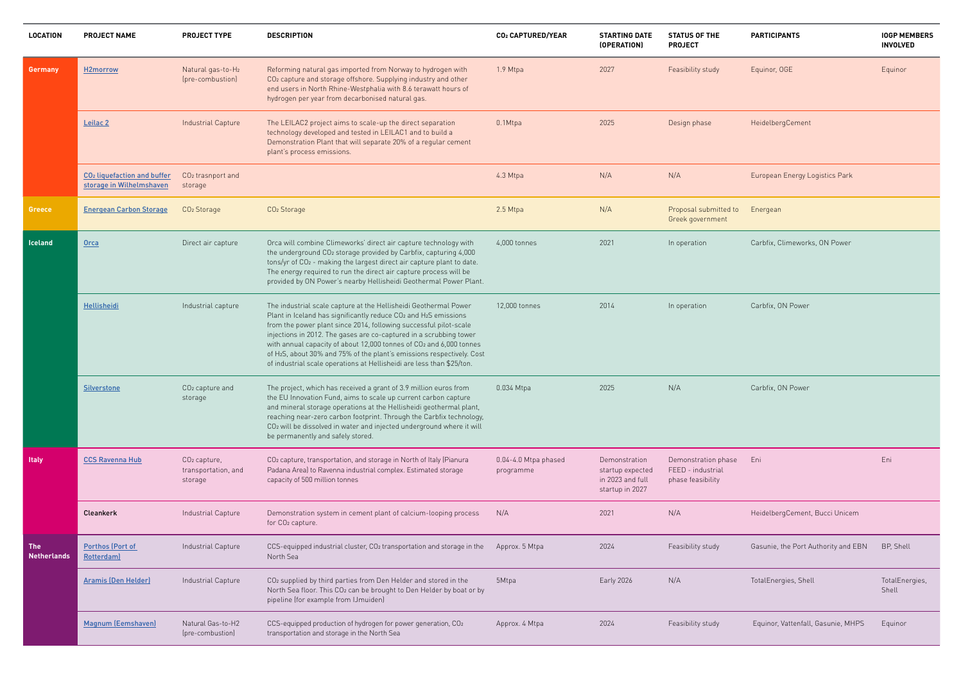| <b>LOCATION</b>           | <b>PROJECT NAME</b>                                                 | <b>PROJECT TYPE</b>                                        | <b>DESCRIPTION</b>                                                                                                                                                                                                                                                                                                                                                                                                                                                                                                               | CO2 CAPTURED/YEAR                 | <b>STARTING DATE</b><br>(OPERATION)                                      | <b>STATUS OF THE</b><br><b>PROJECT</b>                        | <b>PARTICIPANTS</b>                 | <b>IOGP MEMBERS</b><br><b>INVOLVED</b> |
|---------------------------|---------------------------------------------------------------------|------------------------------------------------------------|----------------------------------------------------------------------------------------------------------------------------------------------------------------------------------------------------------------------------------------------------------------------------------------------------------------------------------------------------------------------------------------------------------------------------------------------------------------------------------------------------------------------------------|-----------------------------------|--------------------------------------------------------------------------|---------------------------------------------------------------|-------------------------------------|----------------------------------------|
| Germany                   | H2morrow                                                            | Natural gas-to-H2<br>(pre-combustion)                      | Reforming natural gas imported from Norway to hydrogen with<br>CO <sub>2</sub> capture and storage offshore. Supplying industry and other<br>end users in North Rhine-Westphalia with 8.6 terawatt hours of<br>hydrogen per year from decarbonised natural gas.                                                                                                                                                                                                                                                                  | 1.9 Mtpa                          | 2027                                                                     | Feasibility study                                             | Equinor, OGE                        | Equinor                                |
|                           | Leilac <sub>2</sub>                                                 | <b>Industrial Capture</b>                                  | The LEILAC2 project aims to scale-up the direct separation<br>technology developed and tested in LEILAC1 and to build a<br>Demonstration Plant that will separate 20% of a regular cement<br>plant's process emissions.                                                                                                                                                                                                                                                                                                          | 0.1Mtpa                           | 2025                                                                     | Design phase                                                  | HeidelbergCement                    |                                        |
|                           | CO <sub>2</sub> liquefaction and buffer<br>storage in Wilhelmshaven | CO <sub>2</sub> trasnport and<br>storage                   |                                                                                                                                                                                                                                                                                                                                                                                                                                                                                                                                  | 4.3 Mtpa                          | N/A                                                                      | N/A                                                           | European Energy Logistics Park      |                                        |
| Greece                    | <b>Energean Carbon Storage</b>                                      | CO <sub>2</sub> Storage                                    | CO <sub>2</sub> Storage                                                                                                                                                                                                                                                                                                                                                                                                                                                                                                          | 2.5 Mtpa                          | N/A                                                                      | Proposal submitted to<br>Greek government                     | Energean                            |                                        |
| Iceland                   | <b>Orca</b>                                                         | Direct air capture                                         | Orca will combine Climeworks' direct air capture technology with<br>the underground CO2 storage provided by Carbfix, capturing 4,000<br>tons/yr of CO <sub>2</sub> - making the largest direct air capture plant to date.<br>The energy required to run the direct air capture process will be<br>provided by ON Power's nearby Hellisheidi Geothermal Power Plant.                                                                                                                                                              | 4,000 tonnes                      | 2021                                                                     | In operation                                                  | Carbfix, Climeworks, ON Power       |                                        |
|                           | Hellisheidi                                                         | Industrial capture                                         | The industrial scale capture at the Hellisheidi Geothermal Power<br>Plant in Iceland has significantly reduce CO <sub>2</sub> and H <sub>2</sub> S emissions<br>from the power plant since 2014, following successful pilot-scale<br>injections in 2012. The gases are co-captured in a scrubbing tower<br>with annual capacity of about 12,000 tonnes of CO2 and 6,000 tonnes<br>of H2S, about 30% and 75% of the plant's emissions respectively. Cost<br>of industrial scale operations at Hellisheidi are less than \$25/ton. | 12,000 tonnes                     | 2014                                                                     | In operation                                                  | Carbfix, ON Power                   |                                        |
|                           | <b>Silverstone</b>                                                  | CO <sub>2</sub> capture and<br>storage                     | The project, which has received a grant of 3.9 million euros from<br>the EU Innovation Fund, aims to scale up current carbon capture<br>and mineral storage operations at the Hellisheidi geothermal plant,<br>reaching near-zero carbon footprint. Through the Carbfix technology,<br>CO <sub>2</sub> will be dissolved in water and injected underground where it will<br>be permanently and safely stored.                                                                                                                    | 0.034 Mtpa                        | 2025                                                                     | N/A                                                           | Carbfix, ON Power                   |                                        |
| <b>Italy</b>              | <b>CCS Ravenna Hub</b>                                              | CO <sub>2</sub> capture,<br>transportation, and<br>storage | CO <sub>2</sub> capture, transportation, and storage in North of Italy (Pianura<br>Padana Area) to Ravenna industrial complex. Estimated storage<br>capacity of 500 million tonnes                                                                                                                                                                                                                                                                                                                                               | 0.04-4.0 Mtpa phased<br>programme | Demonstration<br>startup expected<br>in 2023 and full<br>startup in 2027 | Demonstration phase<br>FEED - industrial<br>phase feasibility | Eni                                 | Eni                                    |
|                           | Cleankerk                                                           | Industrial Capture                                         | Demonstration system in cement plant of calcium-looping process<br>for CO <sub>2</sub> capture.                                                                                                                                                                                                                                                                                                                                                                                                                                  | N/A                               | 2021                                                                     | N/A                                                           | HeidelbergCement, Bucci Unicem      |                                        |
| The<br><b>Netherlands</b> | Porthos (Port of<br>Rotterdam)                                      | Industrial Capture                                         | CCS-equipped industrial cluster, CO2 transportation and storage in the<br>North Sea                                                                                                                                                                                                                                                                                                                                                                                                                                              | Approx. 5 Mtpa                    | 2024                                                                     | Feasibility study                                             | Gasunie, the Port Authority and EBN | BP, Shell                              |
|                           | <b>Aramis (Den Helder)</b>                                          | Industrial Capture                                         | CO <sub>2</sub> supplied by third parties from Den Helder and stored in the<br>North Sea floor. This CO <sub>2</sub> can be brought to Den Helder by boat or by<br>pipeline (for example from IJmuiden)                                                                                                                                                                                                                                                                                                                          | 5Mtpa                             | Early 2026                                                               | N/A                                                           | TotalEnergies, Shell                | TotalEnergies,<br>Shell                |
|                           | Magnum (Eemshaven)                                                  | Natural Gas-to-H2<br>(pre-combustion)                      | CCS-equipped production of hydrogen for power generation, CO2<br>transportation and storage in the North Sea                                                                                                                                                                                                                                                                                                                                                                                                                     | Approx. 4 Mtpa                    | 2024                                                                     | Feasibility study                                             | Equinor, Vattenfall, Gasunie, MHPS  | Equinor                                |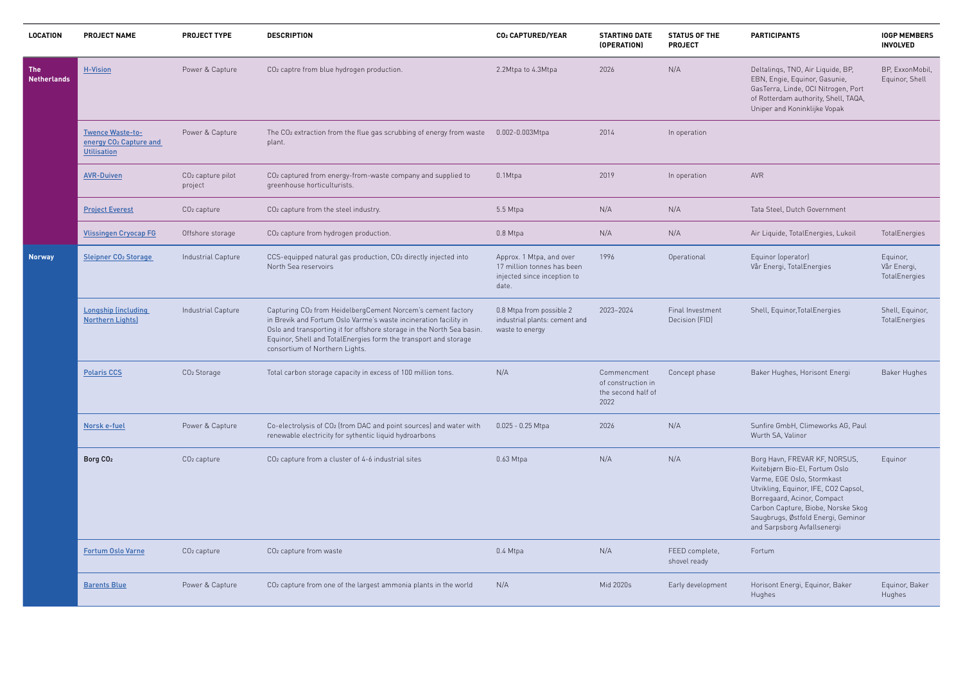#### **PARTICIPANTS IOGP MEMBERS INVOLVED**

| Deltalings, TNO, Air Liquide, BP,    |
|--------------------------------------|
| EBN, Engie, Equinor, Gasunie,        |
| GasTerra, Linde, OCI Nitrogen, Port  |
| of Rotterdam authority, Shell, TAQA, |
| Uniper and Koninklijke Vopak         |

BP, ExxonMobil, Equinor, Shell

Air Liquide, Total Energies, Lukoil Fotal Energies

Shell, Equinor, Total Energies Shell, Equinor,

Baker Hughes, Horisont Energi Baker Hughes

Sunfire GmbH, Climeworks AG, Paul Wurth SA, Valinor

Borg Havn, FREVAR KF, NORSUS, Kvitebjørn Bio-El, Fortum Oslo Varme, EGE Oslo, Stormkast Utvikling, Equinor, IFE, CO2 Capsol, Borregaard, Acinor, Compact Carbon Capture, Biobe, Norske Skog Saugbrugs, Østfold Energi, Geminor and Sarpsborg Avfallsenergi Equinor

Equinor, Vår Energi, TotalEnergies

| <b>LOCATION</b>                  | <b>PROJECT NAME</b>                                                                 | <b>PROJECT TYPE</b>                      | <b>DESCRIPTION</b>                                                                                                                                                                                                                                                                                                        | <b>CO<sub>2</sub> CAPTURED/YEAR</b>                                                            | <b>STARTING DATE</b><br>(OPERATION)                             | <b>STATUS OF THE</b><br><b>PROJECT</b> | <b>PARTICIPANTS</b>                                                                                                                                                                                                                                                   |
|----------------------------------|-------------------------------------------------------------------------------------|------------------------------------------|---------------------------------------------------------------------------------------------------------------------------------------------------------------------------------------------------------------------------------------------------------------------------------------------------------------------------|------------------------------------------------------------------------------------------------|-----------------------------------------------------------------|----------------------------------------|-----------------------------------------------------------------------------------------------------------------------------------------------------------------------------------------------------------------------------------------------------------------------|
| <b>The</b><br><b>Netherlands</b> | <b>H-Vision</b>                                                                     | Power & Capture                          | CO <sub>2</sub> captre from blue hydrogen production.                                                                                                                                                                                                                                                                     | 2.2Mtpa to 4.3Mtpa                                                                             | 2026                                                            | N/A                                    | Deltalings, TNO, Air Liquide, BP,<br>EBN, Engie, Equinor, Gasunie,<br>GasTerra, Linde, OCI Nitrogen, P<br>of Rotterdam authority, Shell, TA<br>Uniper and Koninklijke Vopak                                                                                           |
|                                  | <b>Twence Waste-to-</b><br>energy CO <sub>2</sub> Capture and<br><b>Utilisation</b> | Power & Capture                          | The CO <sub>2</sub> extraction from the flue gas scrubbing of energy from waste<br>plant.                                                                                                                                                                                                                                 | 0.002-0.003Mtpa                                                                                | 2014                                                            | In operation                           |                                                                                                                                                                                                                                                                       |
|                                  | <b>AVR-Duiven</b>                                                                   | CO <sub>2</sub> capture pilot<br>project | CO <sub>2</sub> captured from energy-from-waste company and supplied to<br>greenhouse horticulturists.                                                                                                                                                                                                                    | 0.1Mtpa                                                                                        | 2019                                                            | In operation                           | AVR                                                                                                                                                                                                                                                                   |
|                                  | <b>Project Everest</b>                                                              | $CO2$ capture                            | CO <sub>2</sub> capture from the steel industry.                                                                                                                                                                                                                                                                          | 5.5 Mtpa                                                                                       | N/A                                                             | N/A                                    | Tata Steel, Dutch Government                                                                                                                                                                                                                                          |
|                                  | <b>Vlissingen Cryocap FG</b>                                                        | Offshore storage                         | CO <sub>2</sub> capture from hydrogen production.                                                                                                                                                                                                                                                                         | 0.8 Mtpa                                                                                       | N/A                                                             | N/A                                    | Air Liquide, TotalEnergies, Lukoi                                                                                                                                                                                                                                     |
| <b>Norway</b>                    | <b>Sleipner CO2 Storage</b>                                                         | Industrial Capture                       | CCS-equipped natural gas production, CO2 directly injected into<br>North Sea reservoirs                                                                                                                                                                                                                                   | Approx. 1 Mtpa, and over<br>17 million tonnes has been<br>injected since inception to<br>date. | 1996                                                            | Operational                            | Equinor (operator)<br>Vår Energi, TotalEnergies                                                                                                                                                                                                                       |
|                                  | <b>Longship (including</b><br><b>Northern Lights)</b>                               | Industrial Capture                       | Capturing CO <sub>2</sub> from HeidelbergCement Norcem's cement factory<br>in Brevik and Fortum Oslo Varme's waste incineration facility in<br>Oslo and transporting it for offshore storage in the North Sea basin.<br>Equinor, Shell and TotalEnergies form the transport and storage<br>consortium of Northern Lights. | 0.8 Mtpa from possible 2<br>industrial plants: cement and<br>waste to energy                   | 2023-2024                                                       | Final Investment<br>Decision (FID)     | Shell, Equinor, Total Energies                                                                                                                                                                                                                                        |
|                                  | <b>Polaris CCS</b>                                                                  | CO <sub>2</sub> Storage                  | Total carbon storage capacity in excess of 100 million tons.                                                                                                                                                                                                                                                              | N/A                                                                                            | Commencment<br>of construction in<br>the second half of<br>2022 | Concept phase                          | Baker Hughes, Horisont Energi                                                                                                                                                                                                                                         |
|                                  | Norsk e-fuel                                                                        | Power & Capture                          | Co-electrolysis of CO2 (from DAC and point sources) and water with<br>renewable electricity for sythentic liquid hydroarbons                                                                                                                                                                                              | $0.025 - 0.25$ Mtpa                                                                            | 2026                                                            | N/A                                    | Sunfire GmbH, Climeworks AG, F<br>Wurth SA, Valinor                                                                                                                                                                                                                   |
|                                  | Borg CO <sub>2</sub>                                                                | CO <sub>2</sub> capture                  | CO <sub>2</sub> capture from a cluster of 4-6 industrial sites                                                                                                                                                                                                                                                            | 0.63 Mtpa                                                                                      | N/A                                                             | N/A                                    | Borg Havn, FREVAR KF, NORSUS<br>Kvitebjørn Bio-El, Fortum Oslo<br>Varme, EGE Oslo, Stormkast<br>Utvikling, Equinor, IFE, CO2 Caps<br>Borregaard, Acinor, Compact<br>Carbon Capture, Biobe, Norske 9<br>Saugbrugs, Østfold Energi, Gemi<br>and Sarpsborg Avfallsenergi |
|                                  | <b>Fortum Oslo Varne</b>                                                            | CO <sub>2</sub> capture                  | CO <sub>2</sub> capture from waste                                                                                                                                                                                                                                                                                        | 0.4 Mtpa                                                                                       | N/A                                                             | FEED complete,<br>shovel ready         | Fortum                                                                                                                                                                                                                                                                |
|                                  | <b>Barents Blue</b>                                                                 | Power & Capture                          | CO <sub>2</sub> capture from one of the largest ammonia plants in the world                                                                                                                                                                                                                                               | N/A                                                                                            | Mid 2020s                                                       | Early development                      | Horisont Energi, Equinor, Baker<br>Hughes                                                                                                                                                                                                                             |

TotalEnergies

Equinor, Baker Hughes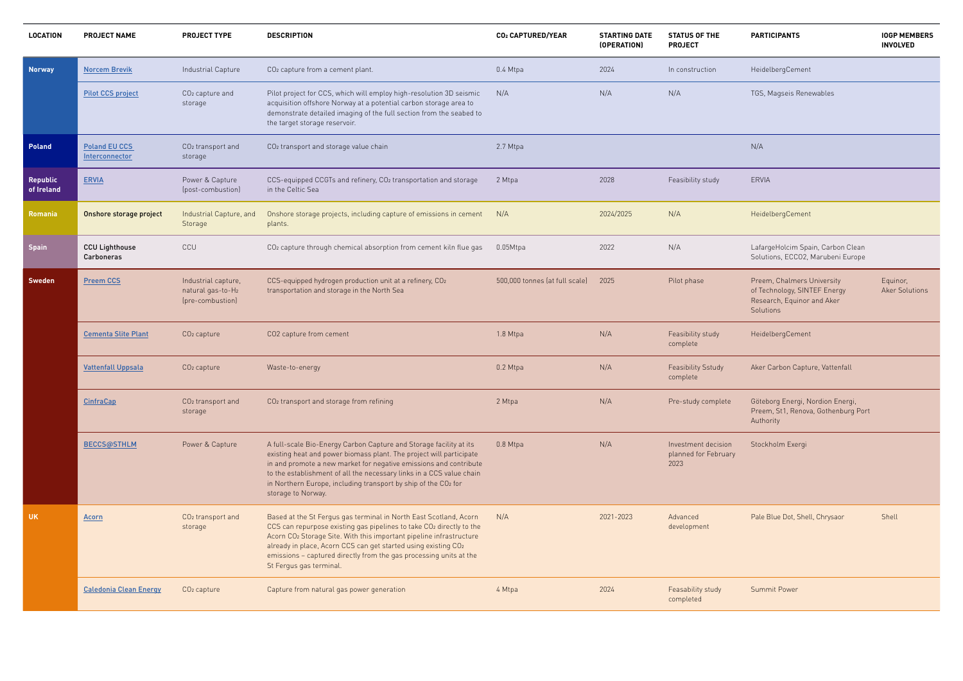| <b>PROJECT NAME</b>                    | <b>PROJECT TYPE</b>                                          | <b>DESCRIPTION</b>                                                                                                                                                                                                                                                                                                                                                                              | CO2 CAPTURED/YEAR              | <b>STARTING DATE</b><br>(OPERATION) | <b>STATUS OF THE</b><br><b>PROJECT</b>              | <b>PARTICIPANTS</b>                                                                                   | <b>IOGP MEMBERS</b><br><b>INVOLVED</b> |
|----------------------------------------|--------------------------------------------------------------|-------------------------------------------------------------------------------------------------------------------------------------------------------------------------------------------------------------------------------------------------------------------------------------------------------------------------------------------------------------------------------------------------|--------------------------------|-------------------------------------|-----------------------------------------------------|-------------------------------------------------------------------------------------------------------|----------------------------------------|
| <b>Norcem Brevik</b>                   | Industrial Capture                                           | CO <sub>2</sub> capture from a cement plant.                                                                                                                                                                                                                                                                                                                                                    | 0.4 Mtpa                       | 2024                                | In construction                                     | HeidelbergCement                                                                                      |                                        |
| <b>Pilot CCS project</b>               | CO <sub>2</sub> capture and<br>storage                       | Pilot project for CCS, which will employ high-resolution 3D seismic<br>acquisition offshore Norway at a potential carbon storage area to<br>demonstrate detailed imaging of the full section from the seabed to<br>the target storage reservoir.                                                                                                                                                | N/A                            | N/A                                 | N/A                                                 | TGS, Magseis Renewables                                                                               |                                        |
| <b>Poland EU CCS</b><br>Interconnector | CO <sub>2</sub> transport and<br>storage                     | CO <sub>2</sub> transport and storage value chain                                                                                                                                                                                                                                                                                                                                               | 2.7 Mtpa                       |                                     |                                                     | N/A                                                                                                   |                                        |
| <b>ERVIA</b>                           | Power & Capture<br>(post-combustion)                         | CCS-equipped CCGTs and refinery, CO2 transportation and storage<br>in the Celtic Sea                                                                                                                                                                                                                                                                                                            | 2 Mtpa                         | 2028                                | Feasibility study                                   | <b>ERVIA</b>                                                                                          |                                        |
| Onshore storage project                | Industrial Capture, and<br>Storage                           | Onshore storage projects, including capture of emissions in cement<br>plants.                                                                                                                                                                                                                                                                                                                   | N/A                            | 2024/2025                           | N/A                                                 | HeidelbergCement                                                                                      |                                        |
| <b>CCU Lighthouse</b><br>Carboneras    | CCU                                                          | CO <sub>2</sub> capture through chemical absorption from cement kiln flue gas                                                                                                                                                                                                                                                                                                                   | $0.05M$ tpa                    | 2022                                | N/A                                                 | LafargeHolcim Spain, Carbon Clean<br>Solutions, ECCO2, Marubeni Europe                                |                                        |
| <b>Preem CCS</b>                       | Industrial capture,<br>natural gas-to-H2<br>(pre-combustion) | CCS-equipped hydrogen production unit at a refinery, CO2<br>transportation and storage in the North Sea                                                                                                                                                                                                                                                                                         | 500,000 tonnes (at full scale) | 2025                                | Pilot phase                                         | Preem, Chalmers University<br>of Technology, SINTEF Energy<br>Research, Equinor and Aker<br>Solutions | Equinor,<br><b>Aker Solutions</b>      |
| <b>Cementa Slite Plant</b>             | $CO2$ capture                                                | CO2 capture from cement                                                                                                                                                                                                                                                                                                                                                                         | 1.8 Mtpa                       | N/A                                 | Feasibility study<br>complete                       | HeidelbergCement                                                                                      |                                        |
| <b>Vattenfall Uppsala</b>              | $CO2$ capture                                                | Waste-to-energy                                                                                                                                                                                                                                                                                                                                                                                 | 0.2 Mtpa                       | N/A                                 | Feasibility Sstudy<br>complete                      | Aker Carbon Capture, Vattenfall                                                                       |                                        |
| <b>CinfraCap</b>                       | CO <sub>2</sub> transport and<br>storage                     | CO <sub>2</sub> transport and storage from refining                                                                                                                                                                                                                                                                                                                                             | 2 Mtpa                         | N/A                                 | Pre-study complete                                  | Göteborg Energi, Nordion Energi,<br>Preem, St1, Renova, Gothenburg Port<br>Authority                  |                                        |
| <b>BECCS@STHLM</b>                     | Power & Capture                                              | A full-scale Bio-Energy Carbon Capture and Storage facility at its<br>existing heat and power biomass plant. The project will participate<br>in and promote a new market for negative emissions and contribute<br>to the establishment of all the necessary links in a CCS value chain<br>in Northern Europe, including transport by ship of the CO2 for<br>storage to Norway.                  | 0.8 Mtpa                       | N/A                                 | Investment decision<br>planned for February<br>2023 | Stockholm Exergi                                                                                      |                                        |
| <b>Acorn</b>                           | CO <sub>2</sub> transport and<br>storage                     | Based at the St Fergus gas terminal in North East Scotland, Acorn<br>CCS can repurpose existing gas pipelines to take CO2 directly to the<br>Acorn CO <sub>2</sub> Storage Site. With this important pipeline infrastructure<br>already in place, Acorn CCS can get started using existing CO2<br>emissions - captured directly from the gas processing units at the<br>St Fergus gas terminal. | N/A                            | 2021-2023                           | Advanced<br>development                             | Pale Blue Dot, Shell, Chrysaor                                                                        | Shell                                  |
| <b>Caledonia Clean Energy</b>          | $CO2$ capture                                                | Capture from natural gas power generation                                                                                                                                                                                                                                                                                                                                                       | 4 Mtpa                         | 2024                                | Feasability study<br>completed                      | <b>Summit Power</b>                                                                                   |                                        |
|                                        |                                                              |                                                                                                                                                                                                                                                                                                                                                                                                 |                                |                                     |                                                     |                                                                                                       |                                        |